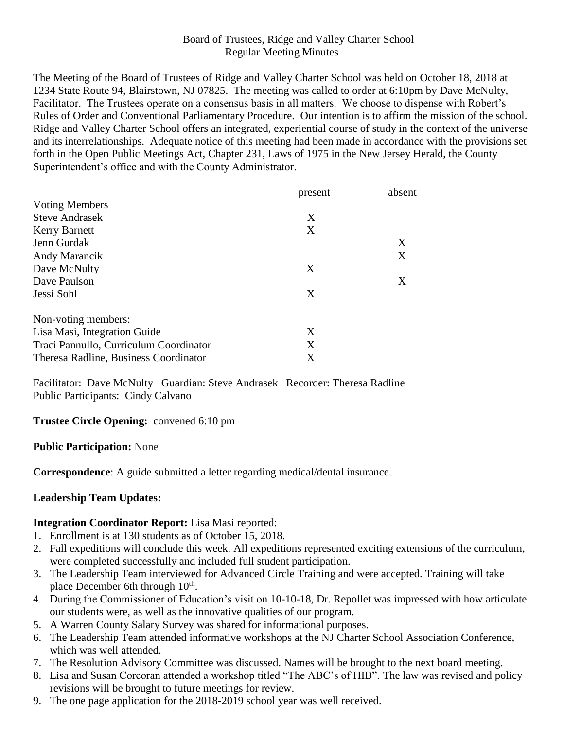### Board of Trustees, Ridge and Valley Charter School Regular Meeting Minutes

The Meeting of the Board of Trustees of Ridge and Valley Charter School was held on October 18, 2018 at 1234 State Route 94, Blairstown, NJ 07825. The meeting was called to order at 6:10pm by Dave McNulty, Facilitator. The Trustees operate on a consensus basis in all matters. We choose to dispense with Robert's Rules of Order and Conventional Parliamentary Procedure. Our intention is to affirm the mission of the school. Ridge and Valley Charter School offers an integrated, experiential course of study in the context of the universe and its interrelationships. Adequate notice of this meeting had been made in accordance with the provisions set forth in the Open Public Meetings Act, Chapter 231, Laws of 1975 in the New Jersey Herald, the County Superintendent's office and with the County Administrator.

|                                        | present | absent |
|----------------------------------------|---------|--------|
| <b>Voting Members</b>                  |         |        |
| <b>Steve Andrasek</b>                  | X       |        |
| <b>Kerry Barnett</b>                   | X       |        |
| Jenn Gurdak                            |         | X      |
| Andy Marancik                          |         | X      |
| Dave McNulty                           | X       |        |
| Dave Paulson                           |         | X      |
| Jessi Sohl                             | X       |        |
| Non-voting members:                    |         |        |
| Lisa Masi, Integration Guide           | X       |        |
| Traci Pannullo, Curriculum Coordinator | X       |        |
| Theresa Radline, Business Coordinator  | X       |        |

Facilitator: Dave McNulty Guardian: Steve Andrasek Recorder: Theresa Radline Public Participants: Cindy Calvano

#### **Trustee Circle Opening:** convened 6:10 pm

#### **Public Participation:** None

**Correspondence**: A guide submitted a letter regarding medical/dental insurance.

#### **Leadership Team Updates:**

#### **Integration Coordinator Report:** Lisa Masi reported:

- 1. Enrollment is at 130 students as of October 15, 2018.
- 2. Fall expeditions will conclude this week. All expeditions represented exciting extensions of the curriculum, were completed successfully and included full student participation.
- 3. The Leadership Team interviewed for Advanced Circle Training and were accepted. Training will take place December 6th through 10<sup>th</sup>.
- 4. During the Commissioner of Education's visit on 10-10-18, Dr. Repollet was impressed with how articulate our students were, as well as the innovative qualities of our program.
- 5. A Warren County Salary Survey was shared for informational purposes.
- 6. The Leadership Team attended informative workshops at the NJ Charter School Association Conference, which was well attended.
- 7. The Resolution Advisory Committee was discussed. Names will be brought to the next board meeting.
- 8. Lisa and Susan Corcoran attended a workshop titled "The ABC's of HIB". The law was revised and policy revisions will be brought to future meetings for review.
- 9. The one page application for the 2018-2019 school year was well received.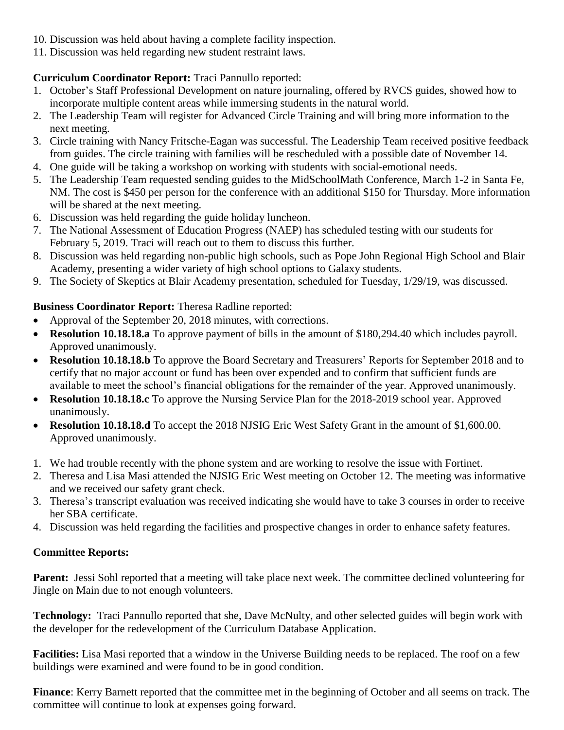- 10. Discussion was held about having a complete facility inspection.
- 11. Discussion was held regarding new student restraint laws.

# **Curriculum Coordinator Report:** Traci Pannullo reported:

- 1. October's Staff Professional Development on nature journaling, offered by RVCS guides, showed how to incorporate multiple content areas while immersing students in the natural world.
- 2. The Leadership Team will register for Advanced Circle Training and will bring more information to the next meeting.
- 3. Circle training with Nancy Fritsche-Eagan was successful. The Leadership Team received positive feedback from guides. The circle training with families will be rescheduled with a possible date of November 14.
- 4. One guide will be taking a workshop on working with students with social-emotional needs.
- 5. The Leadership Team requested sending guides to the MidSchoolMath Conference, March 1-2 in Santa Fe, NM. The cost is \$450 per person for the conference with an additional \$150 for Thursday. More information will be shared at the next meeting.
- 6. Discussion was held regarding the guide holiday luncheon.
- 7. The National Assessment of Education Progress (NAEP) has scheduled testing with our students for February 5, 2019. Traci will reach out to them to discuss this further.
- 8. Discussion was held regarding non-public high schools, such as Pope John Regional High School and Blair Academy, presenting a wider variety of high school options to Galaxy students.
- 9. The Society of Skeptics at Blair Academy presentation, scheduled for Tuesday, 1/29/19, was discussed.

# **Business Coordinator Report:** Theresa Radline reported:

- Approval of the September 20, 2018 minutes, with corrections.
- **Resolution 10.18.18.a** To approve payment of bills in the amount of \$180,294.40 which includes payroll. Approved unanimously.
- **Resolution 10.18.18.b** To approve the Board Secretary and Treasurers' Reports for September 2018 and to certify that no major account or fund has been over expended and to confirm that sufficient funds are available to meet the school's financial obligations for the remainder of the year. Approved unanimously.
- **Resolution 10.18.18.c** To approve the Nursing Service Plan for the 2018-2019 school year. Approved unanimously.
- **Resolution 10.18.18.d** To accept the 2018 NJSIG Eric West Safety Grant in the amount of \$1,600.00. Approved unanimously.
- 1. We had trouble recently with the phone system and are working to resolve the issue with Fortinet.
- 2. Theresa and Lisa Masi attended the NJSIG Eric West meeting on October 12. The meeting was informative and we received our safety grant check.
- 3. Theresa's transcript evaluation was received indicating she would have to take 3 courses in order to receive her SBA certificate.
- 4. Discussion was held regarding the facilities and prospective changes in order to enhance safety features.

# **Committee Reports:**

Parent: Jessi Sohl reported that a meeting will take place next week. The committee declined volunteering for Jingle on Main due to not enough volunteers.

**Technology:** Traci Pannullo reported that she, Dave McNulty, and other selected guides will begin work with the developer for the redevelopment of the Curriculum Database Application.

**Facilities:** Lisa Masi reported that a window in the Universe Building needs to be replaced. The roof on a few buildings were examined and were found to be in good condition.

**Finance**: Kerry Barnett reported that the committee met in the beginning of October and all seems on track. The committee will continue to look at expenses going forward.